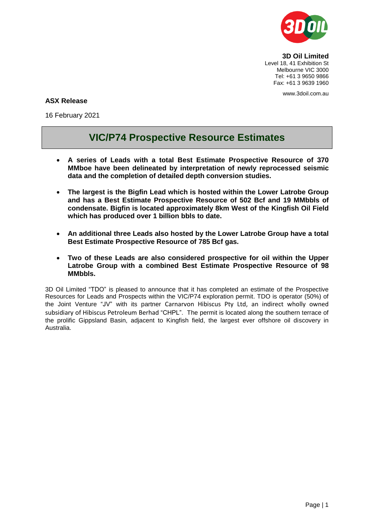

**3D Oil Limited** Level 18, 41 Exhibition St Melbourne VIC 3000 Tel: +61 3 9650 9866 Fax: +61 3 9639 1960

www.3doil.com.au

### **ASX Release**

16 February 2021

# **VIC/P74 Prospective Resource Estimates**

- **A series of Leads with a total Best Estimate Prospective Resource of 370 MMboe have been delineated by interpretation of newly reprocessed seismic data and the completion of detailed depth conversion studies.**
- **The largest is the Bigfin Lead which is hosted within the Lower Latrobe Group and has a Best Estimate Prospective Resource of 502 Bcf and 19 MMbbls of condensate. Bigfin is located approximately 8km West of the Kingfish Oil Field which has produced over 1 billion bbls to date.**
- **An additional three Leads also hosted by the Lower Latrobe Group have a total Best Estimate Prospective Resource of 785 Bcf gas.**
- **Two of these Leads are also considered prospective for oil within the Upper Latrobe Group with a combined Best Estimate Prospective Resource of 98 MMbbls.**

3D Oil Limited "TDO" is pleased to announce that it has completed an estimate of the Prospective Resources for Leads and Prospects within the VIC/P74 exploration permit. TDO is operator (50%) of the Joint Venture "JV" with its partner Carnarvon Hibiscus Pty Ltd, an indirect wholly owned subsidiary of Hibiscus Petroleum Berhad "CHPL". The permit is located along the southern terrace of the prolific Gippsland Basin, adjacent to Kingfish field, the largest ever offshore oil discovery in Australia.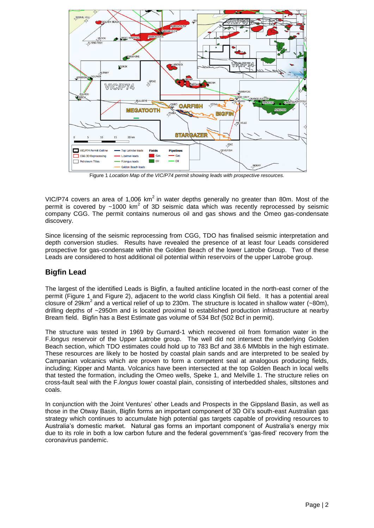

Figure 1 *Location Map of the VIC/P74 permit showing leads with prospective resources.*

VIC/P74 covers an area of 1,006  $km^2$  in water depths generally no greater than 80m. Most of the permit is covered by  $~1000$  km<sup>2</sup> of 3D seismic data which was recently reprocessed by seismic company CGG. The permit contains numerous oil and gas shows and the Omeo gas-condensate discovery.

Since licensing of the seismic reprocessing from CGG, TDO has finalised seismic interpretation and depth conversion studies. Results have revealed the presence of at least four Leads considered prospective for gas-condensate within the Golden Beach of the lower Latrobe Group. Two of these Leads are considered to host additional oil potential within reservoirs of the upper Latrobe group.

## **Bigfin Lead**

The largest of the identified Leads is Bigfin, a faulted anticline located in the north-east corner of the permit (Figure 1 and Figure 2), adjacent to the world class Kingfish Oil field. It has a potential areal closure of 29km<sup>2</sup> and a vertical relief of up to 230m. The structure is located in shallow water (~80m), drilling depths of ~2950m and is located proximal to established production infrastructure at nearby Bream field. Bigfin has a Best Estimate gas volume of 534 Bcf (502 Bcf in permit).

The structure was tested in 1969 by Gurnard-1 which recovered oil from formation water in the F.*longus* reservoir of the Upper Latrobe group. The well did not intersect the underlying Golden Beach section, which TDO estimates could hold up to 783 Bcf and 38.6 MMbbls in the high estimate. These resources are likely to be hosted by coastal plain sands and are interpreted to be sealed by Campanian volcanics which are proven to form a competent seal at analogous producing fields, including; Kipper and Manta. Volcanics have been intersected at the top Golden Beach in local wells that tested the formation, including the Omeo wells, Speke 1, and Melville 1. The structure relies on cross-fault seal with the F.*longus* lower coastal plain, consisting of interbedded shales, siltstones and coals.

In conjunction with the Joint Ventures' other Leads and Prospects in the Gippsland Basin, as well as those in the Otway Basin, Bigfin forms an important component of 3D Oil's south-east Australian gas strategy which continues to accumulate high potential gas targets capable of providing resources to Australia's domestic market. Natural gas forms an important component of Australia's energy mix due to its role in both a low carbon future and the federal government's 'gas-fired' recovery from the coronavirus pandemic.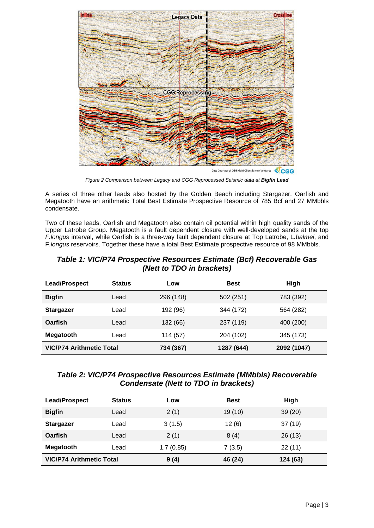

*Figure 2 Comparison between Legacy and CGG Reprocessed Seismic data at Bigfin Lead*

A series of three other leads also hosted by the Golden Beach including Stargazer, Oarfish and Megatooth have an arithmetic Total Best Estimate Prospective Resource of 785 Bcf and 27 MMbbls condensate.

Two of these leads, Oarfish and Megatooth also contain oil potential within high quality sands of the Upper Latrobe Group. Megatooth is a fault dependent closure with well-developed sands at the top *F.longus* interval, while Oarfish is a three-way fault dependent closure at Top Latrobe, L*.balmei*, and F.*longus* reservoirs. Together these have a total Best Estimate prospective resource of 98 MMbbls.

| Table 1: VIC/P74 Prospective Resources Estimate (Bcf) Recoverable Gas |
|-----------------------------------------------------------------------|
| (Nett to TDO in brackets)                                             |

| <b>Lead/Prospect</b>            | <b>Status</b> | Low       | <b>Best</b> | High        |
|---------------------------------|---------------|-----------|-------------|-------------|
| <b>Bigfin</b>                   | Lead          | 296 (148) | 502 (251)   | 783 (392)   |
| <b>Stargazer</b>                | Lead          | 192 (96)  | 344 (172)   | 564 (282)   |
| Oarfish                         | Lead          | 132 (66)  | 237 (119)   | 400 (200)   |
| <b>Megatooth</b>                | Lead          | 114 (57)  | 204 (102)   | 345 (173)   |
| <b>VIC/P74 Arithmetic Total</b> |               | 734 (367) | 1287 (644)  | 2092 (1047) |

## *Table 2: VIC/P74 Prospective Resources Estimate (MMbbls) Recoverable Condensate (Nett to TDO in brackets)*

| <b>Lead/Prospect</b>            | <b>Status</b> | Low       | <b>Best</b> | High     |
|---------------------------------|---------------|-----------|-------------|----------|
| <b>Bigfin</b>                   | Lead          | 2(1)      | 19 (10)     | 39(20)   |
| <b>Stargazer</b>                | Lead          | 3(1.5)    | 12(6)       | 37(19)   |
| <b>Oarfish</b>                  | Lead          | 2(1)      | 8(4)        | 26(13)   |
| <b>Megatooth</b>                | Lead          | 1.7(0.85) | 7(3.5)      | 22(11)   |
| <b>VIC/P74 Arithmetic Total</b> |               | 9(4)      | 46 (24)     | 124 (63) |